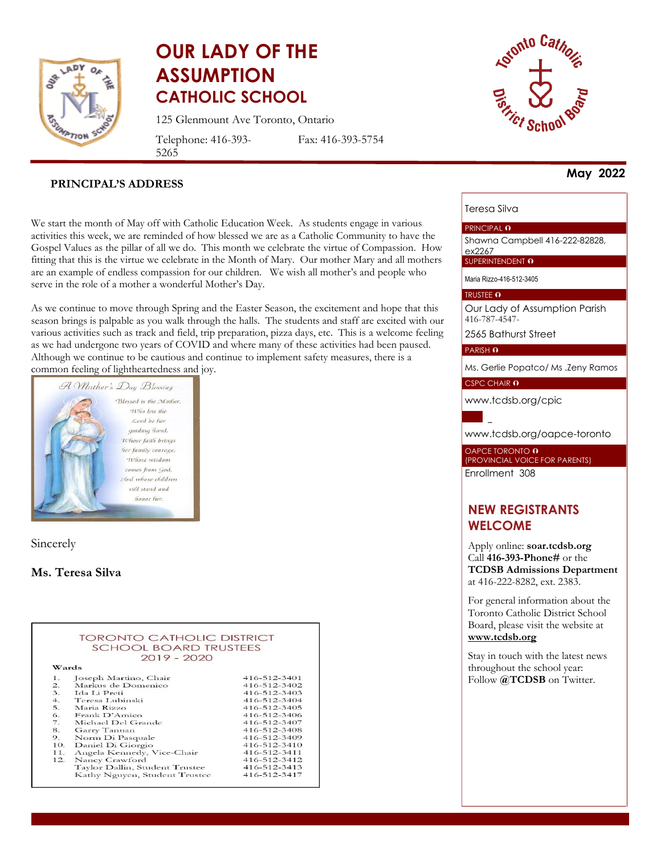

# **OUR LADY OF THE ASSUMPTION CATHOLIC SCHOOL**

125 Glenmount Ave Toronto, Ontario

Telephone: 416-393- 5265

Fax: 416-393-5754



#### **PRINCIPAL'S ADDRESS**

We start the month of May off with Catholic Education Week. As students engage in various activities this week, we are reminded of how blessed we are as a Catholic Community to have the Gospel Values as the pillar of all we do. This month we celebrate the virtue of Compassion. How fitting that this is the virtue we celebrate in the Month of Mary. Our mother Mary and all mothers are an example of endless compassion for our children. We wish all mother's and people who serve in the role of a mother a wonderful Mother's Day.

As we continue to move through Spring and the Easter Season, the excitement and hope that this season brings is palpable as you walk through the halls. The students and staff are excited with our various activities such as track and field, trip preparation, pizza days, etc. This is a welcome feeling as we had undergone two years of COVID and where many of these activities had been paused. Although we continue to be cautious and continue to implement safety measures, there is a common feeling of lightheartedness and joy.



Sincerely

#### **Ms. Teresa Silva**

|                  | <b>TORONTO CATHOLIC DISTRICT</b> |                    |
|------------------|----------------------------------|--------------------|
|                  | <b>SCHOOL BOARD TRUSTEES</b>     |                    |
|                  | $2019 - 2020$                    |                    |
|                  |                                  |                    |
| Wards            |                                  |                    |
| 1.               | Joseph Martino, Chair            | 416-512-3401       |
| $\overline{2}$ . | Markus de Domenico               | 416-512-3402       |
| 3.               | Ida Li Preti                     | 416-512-3403       |
| 4.               | Teresa Lubinski                  | 416-512-3404       |
|                  | $5.$ Maria Rizzo                 | $416 - 512 - 3405$ |
| 6.               | Frank D'Amico                    | 416-512-3406       |
| $\overline{7}$ . | Michael Del Grande               | 416-512-3407       |
| 8.               | Garry Tanuan                     | 416-512-3408       |
| 9.               | Norm Di Pasquale                 | 416-512-3409       |
| 10.              | Daniel Di Giorgio                | 416-512-3410       |
| 11.              | Angela Kennedy, Vice-Chair       | 416-512-3411       |
| 12.              | Nancy Crawford                   | 416-512-3412       |
|                  | Taylor Dallin, Student Trustee   | 416-512-3413       |
|                  | Kathy Nguyen, Student Trustee    | 416-512-3417       |

**May 2022**

#### Teresa Silva

#### PRINCIPAL **O**

Shawna Campbell 416-222-82828, ex2267

SUPERINTENDENT O

Maria Rizzo-416-512-3405

#### TRUSTEE O

Our Lady of Assumption Parish 416-787-4547-

2565 Bathurst Street

PARISH O

Ms. Gerlie Popatco/ Ms .Zeny Ramos

CSPC CHAIR 0

[www.tcdsb.org/cpic](http://www.tcdsb.org/cpic)

[www.tcdsb.org/oapce](http://www.tcdsb.org/oapce-toronto)-toronto

OAPCE TORONTO **O** (PROVINCIAL VOICE FOR PARENTS) Enrollment 308

# **NEW REGISTRANTS WELCOME**

Apply online: **soar.tcdsb.org** Call **416-393-Phone#** or the **TCDSB Admissions Department** at 416-222-8282, ext. 2383.

For general information about the Toronto Catholic District School Board, please visit the website at **[www.tcdsb.org](http://www.tcdsb.org/)**

Stay in touch with the latest news throughout the school year: Follow **@TCDSB** on Twitter.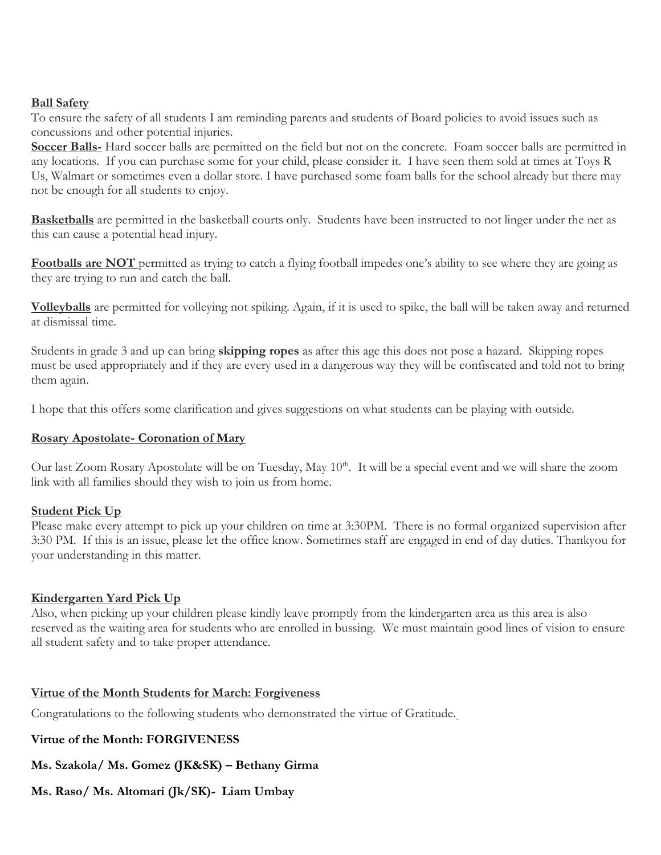#### **Ball Safety**

To ensure the safety of all students I am reminding parents and students of Board policies to avoid issues such as concussions and other potential injuries.

**Soccer Balls-** Hard soccer balls are permitted on the field but not on the concrete. Foam soccer balls are permitted in any locations. If you can purchase some for your child, please consider it. I have seen them sold at times at Toys R Us, Walmart or sometimes even a dollar store. I have purchased some foam balls for the school already but there may not be enough for all students to enjoy.

**Basketballs** are permitted in the basketball courts only. Students have been instructed to not linger under the net as this can cause a potential head injury.

**Footballs are NOT** permitted as trying to catch a flying football impedes one's ability to see where they are going as they are trying to run and catch the ball.

**Volleyballs** are permitted for volleying not spiking. Again, if it is used to spike, the ball will be taken away and returned at dismissal time.

Students in grade 3 and up can bring **skipping ropes** as after this age this does not pose a hazard. Skipping ropes must be used appropriately and if they are every used in a dangerous way they will be confiscated and told not to bring them again.

I hope that this offers some clarification and gives suggestions on what students can be playing with outside.

#### **Rosary Apostolate- Coronation of Mary**

Our last Zoom Rosary Apostolate will be on Tuesday, May 10<sup>th</sup>. It will be a special event and we will share the zoom link with all families should they wish to join us from home.

#### **Student Pick Up**

Please make every attempt to pick up your children on time at 3:30PM. There is no formal organized supervision after 3:30 PM. If this is an issue, please let the office know. Sometimes staff are engaged in end of day duties. Thankyou for your understanding in this matter.

#### **Kindergarten Yard Pick Up**

Also, when picking up your children please kindly leave promptly from the kindergarten area as this area is also reserved as the waiting area for students who are enrolled in bussing. We must maintain good lines of vision to ensure all student safety and to take proper attendance.

# **Virtue of the Month Students for March: Forgiveness**

Congratulations to the following students who demonstrated the virtue of Gratitude.

# **Virtue of the Month: FORGIVENESS**

**Ms. Szakola/ Ms. Gomez (JK&SK) – Bethany Girma**

**Ms. Raso/ Ms. Altomari (Jk/SK)- Liam Umbay**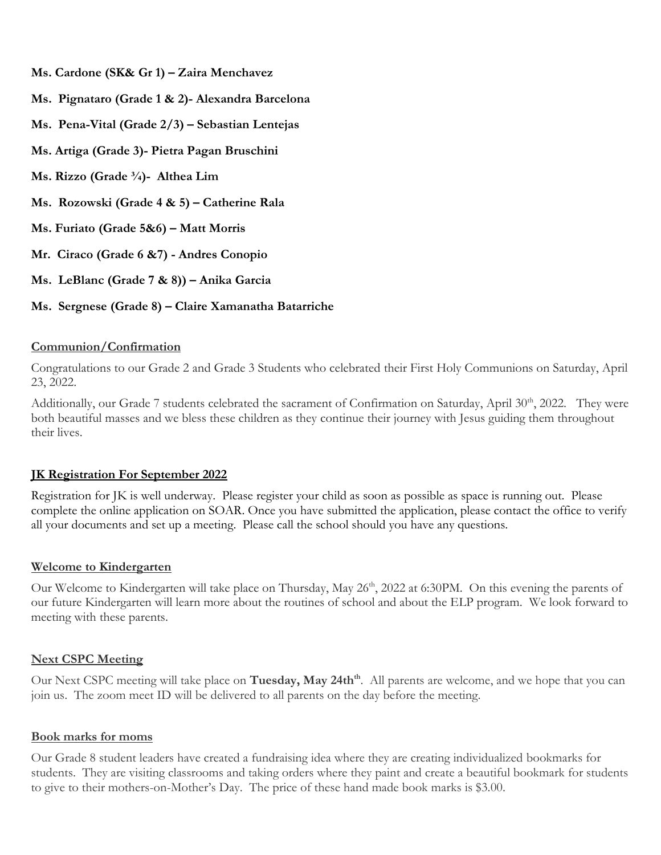- **Ms. Cardone (SK& Gr 1) – Zaira Menchavez**
- **Ms. Pignataro (Grade 1 & 2)- Alexandra Barcelona**
- **Ms. Pena-Vital (Grade 2/3) – Sebastian Lentejas**
- **Ms. Artiga (Grade 3)- Pietra Pagan Bruschini**
- **Ms. Rizzo (Grade ¾)- Althea Lim**
- **Ms. Rozowski (Grade 4 & 5) – Catherine Rala**
- **Ms. Furiato (Grade 5&6) – Matt Morris**
- **Mr. Ciraco (Grade 6 &7) - Andres Conopio**
- **Ms. LeBlanc (Grade 7 & 8)) – Anika Garcia**
- **Ms. Sergnese (Grade 8) – Claire Xamanatha Batarriche**

#### **Communion/Confirmation**

Congratulations to our Grade 2 and Grade 3 Students who celebrated their First Holy Communions on Saturday, April 23, 2022.

Additionally, our Grade 7 students celebrated the sacrament of Confirmation on Saturday, April 30<sup>th</sup>, 2022. They were both beautiful masses and we bless these children as they continue their journey with Jesus guiding them throughout their lives.

# **JK Registration For September 2022**

Registration for JK is well underway. Please register your child as soon as possible as space is running out. Please complete the online application on SOAR. Once you have submitted the application, please contact the office to verify all your documents and set up a meeting. Please call the school should you have any questions.

# **Welcome to Kindergarten**

Our Welcome to Kindergarten will take place on Thursday, May 26<sup>th</sup>, 2022 at 6:30PM. On this evening the parents of our future Kindergarten will learn more about the routines of school and about the ELP program. We look forward to meeting with these parents.

# **Next CSPC Meeting**

Our Next CSPC meeting will take place on **Tuesday, May 24th**<sup>th</sup>. All parents are welcome, and we hope that you can join us. The zoom meet ID will be delivered to all parents on the day before the meeting.

#### **Book marks for moms**

Our Grade 8 student leaders have created a fundraising idea where they are creating individualized bookmarks for students. They are visiting classrooms and taking orders where they paint and create a beautiful bookmark for students to give to their mothers-on-Mother's Day. The price of these hand made book marks is \$3.00.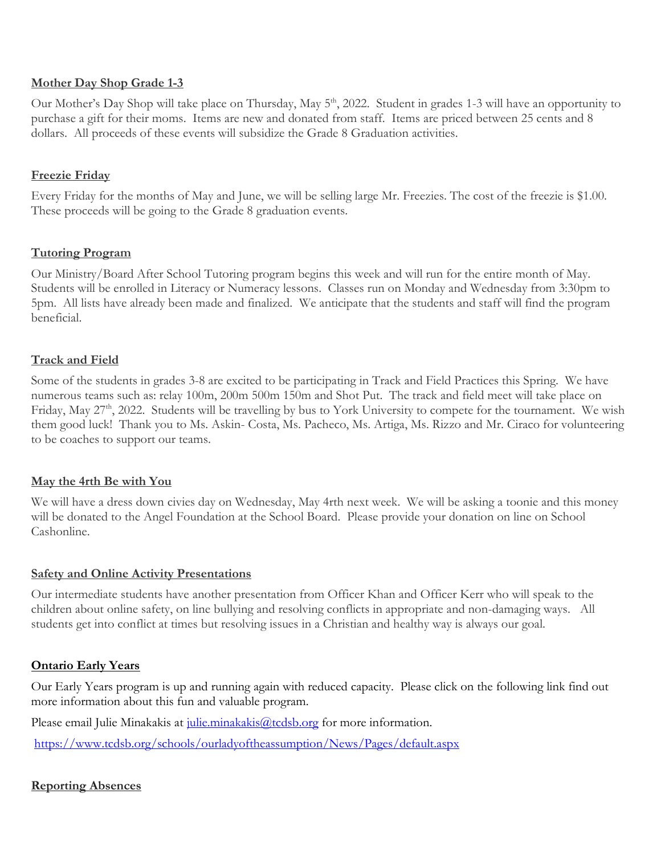#### **Mother Day Shop Grade 1-3**

Our Mother's Day Shop will take place on Thursday, May 5<sup>th</sup>, 2022. Student in grades 1-3 will have an opportunity to purchase a gift for their moms. Items are new and donated from staff. Items are priced between 25 cents and 8 dollars. All proceeds of these events will subsidize the Grade 8 Graduation activities.

#### **Freezie Friday**

Every Friday for the months of May and June, we will be selling large Mr. Freezies. The cost of the freezie is \$1.00. These proceeds will be going to the Grade 8 graduation events.

#### **Tutoring Program**

Our Ministry/Board After School Tutoring program begins this week and will run for the entire month of May. Students will be enrolled in Literacy or Numeracy lessons. Classes run on Monday and Wednesday from 3:30pm to 5pm. All lists have already been made and finalized. We anticipate that the students and staff will find the program beneficial.

#### **Track and Field**

Some of the students in grades 3-8 are excited to be participating in Track and Field Practices this Spring. We have numerous teams such as: relay 100m, 200m 500m 150m and Shot Put. The track and field meet will take place on Friday, May 27<sup>th</sup>, 2022. Students will be travelling by bus to York University to compete for the tournament. We wish them good luck! Thank you to Ms. Askin- Costa, Ms. Pacheco, Ms. Artiga, Ms. Rizzo and Mr. Ciraco for volunteering to be coaches to support our teams.

#### **May the 4rth Be with You**

We will have a dress down civies day on Wednesday, May 4rth next week. We will be asking a toonie and this money will be donated to the Angel Foundation at the School Board. Please provide your donation on line on School Cashonline.

#### **Safety and Online Activity Presentations**

Our intermediate students have another presentation from Officer Khan and Officer Kerr who will speak to the children about online safety, on line bullying and resolving conflicts in appropriate and non-damaging ways. All students get into conflict at times but resolving issues in a Christian and healthy way is always our goal.

# **Ontario Early Years**

Our Early Years program is up and running again with reduced capacity. Please click on the following link find out more information about this fun and valuable program.

Please email Julie Minakakis at [julie.minakakis@tcdsb.org](mailto:julie.minakakis@tcdsb.org) for more information.

<https://www.tcdsb.org/schools/ourladyoftheassumption/News/Pages/default.aspx>

# **Reporting Absences**